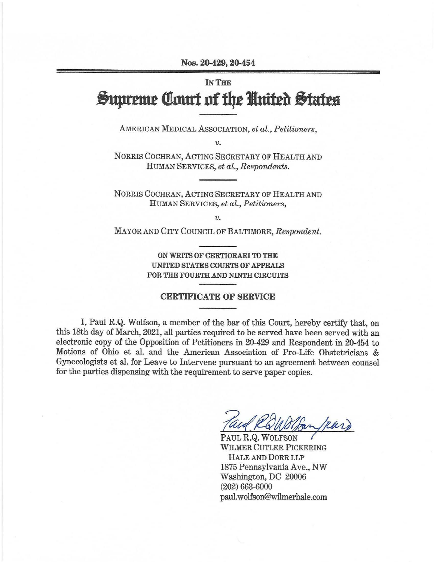Nos. 20-429, 20-454

## IN THE **Supreme Court of the United States**

AMERICAN MEDICAL AsSOCIATION, *et al., Petitioners,* 

*v.* 

NORRIS COCHRAN, ACTING SECRETARY OF HEALTH AND HUMAN SERVICES, *et al., Respondents.* 

NORRIS COCHRAN, ACTING SECRETARY OF HEALTH AND HUMAN SERVICES, *et al., Petitioners,* 

*V.* 

MAYOR AND CITY COUNCIL OF BALTIMORE, *Respondent.* 

**ON WRITS OF CERTIORARI TO THE UNITED STATES COURTS OF APPEALS FOR THE FOURTH AND NINTH CIRCUITS** 

## **CERTIFICATE OF SERVICE**

I, Paul R.Q. Wolfson, a member of the bar of this Court, hereby certify that, on this 18th day of March, 2021, all parties required to be served have been served with an electronic copy of the Opposition of Petitioners in 20-429 and Respondent in 20-454 to Motions of Ohio et al. and the American Association of Pro-Life Obstetricians & Gynecologists et al. for Leave to Intervene pursuant to an agreement between counsel for the parties dispensing with the requirement to serve paper copies.

Paul ROWolfon (Ran)

WILMER CUTLER PICKERING HALE AND DORR LLP 1875 Pennsylvania Ave., NW Washington, DC 20006 (202) 663-6000 paul.wolfson@wilmerhale.com